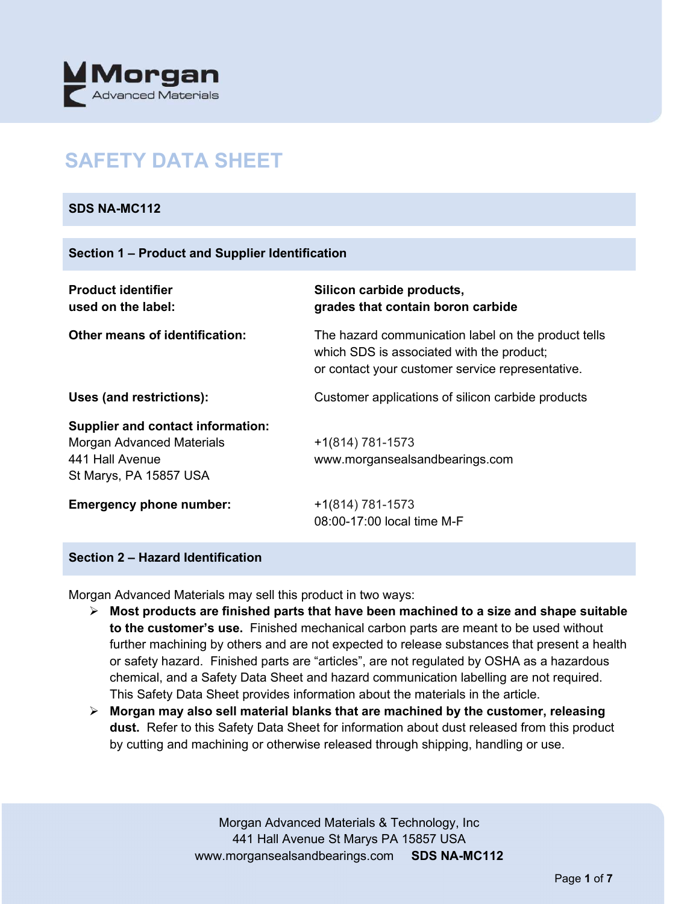

## **SAFETY DATA SHEET**

## **SDS NA-MC112**

| <b>Product identifier</b><br>used on the label:                                                                           | Silicon carbide products,<br>grades that contain boron carbide                                                                                       |
|---------------------------------------------------------------------------------------------------------------------------|------------------------------------------------------------------------------------------------------------------------------------------------------|
| <b>Other means of identification:</b>                                                                                     | The hazard communication label on the product tells<br>which SDS is associated with the product;<br>or contact your customer service representative. |
| Uses (and restrictions):                                                                                                  | Customer applications of silicon carbide products                                                                                                    |
| <b>Supplier and contact information:</b><br><b>Morgan Advanced Materials</b><br>441 Hall Avenue<br>St Marys, PA 15857 USA | $+1(814) 781-1573$<br>www.morgansealsandbearings.com                                                                                                 |
| <b>Emergency phone number:</b>                                                                                            | $+1(814) 781-1573$<br>08:00-17:00 local time M-F                                                                                                     |

## **Section 2 – Hazard Identification**

Morgan Advanced Materials may sell this product in two ways:

- **Most products are finished parts that have been machined to a size and shape suitable to the customer's use.** Finished mechanical carbon parts are meant to be used without further machining by others and are not expected to release substances that present a health or safety hazard. Finished parts are "articles", are not regulated by OSHA as a hazardous chemical, and a Safety Data Sheet and hazard communication labelling are not required. This Safety Data Sheet provides information about the materials in the article.
- **Morgan may also sell material blanks that are machined by the customer, releasing dust.** Refer to this Safety Data Sheet for information about dust released from this product by cutting and machining or otherwise released through shipping, handling or use.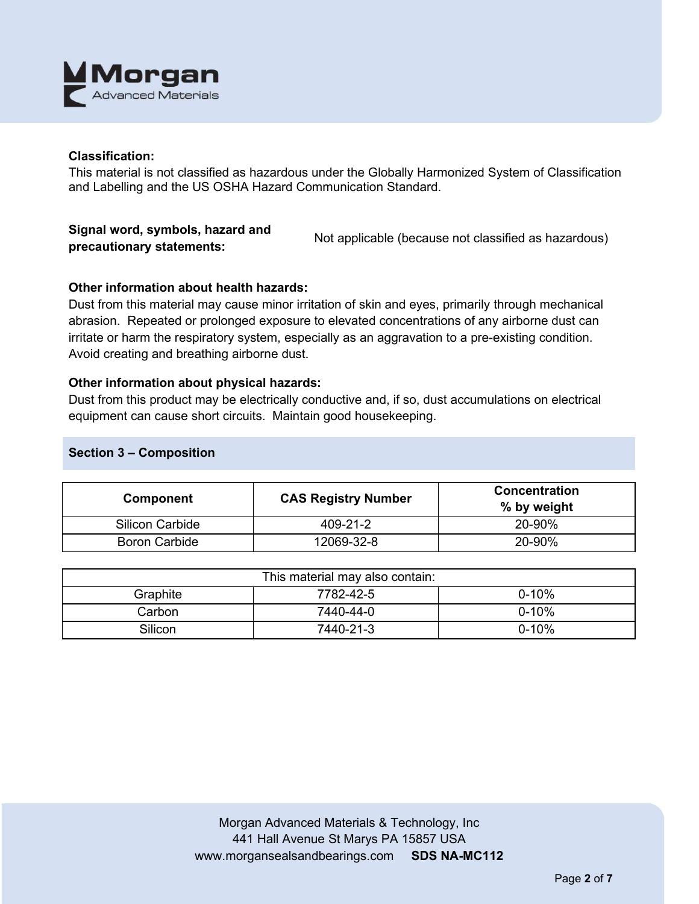

## **Classification:**

This material is not classified as hazardous under the Globally Harmonized System of Classification and Labelling and the US OSHA Hazard Communication Standard.

# **Signal word, symbols, hazard and**

**precautionary statements:** Not applicable (because not classified as hazardous)

## **Other information about health hazards:**

Dust from this material may cause minor irritation of skin and eyes, primarily through mechanical abrasion. Repeated or prolonged exposure to elevated concentrations of any airborne dust can irritate or harm the respiratory system, especially as an aggravation to a pre-existing condition. Avoid creating and breathing airborne dust.

#### **Other information about physical hazards:**

Dust from this product may be electrically conductive and, if so, dust accumulations on electrical equipment can cause short circuits. Maintain good housekeeping.

## **Section 3 – Composition**

| Component              | <b>CAS Registry Number</b> | <b>Concentration</b><br>% by weight |
|------------------------|----------------------------|-------------------------------------|
| <b>Silicon Carbide</b> | 409-21-2                   | 20-90%                              |
| <b>Boron Carbide</b>   | 12069-32-8                 | 20-90%                              |

| This material may also contain: |           |           |  |
|---------------------------------|-----------|-----------|--|
| Graphite                        | 7782-42-5 | $0 - 10%$ |  |
| Carbon                          | 7440-44-0 | $0 - 10%$ |  |
| Silicon                         | 7440-21-3 | $0 - 10%$ |  |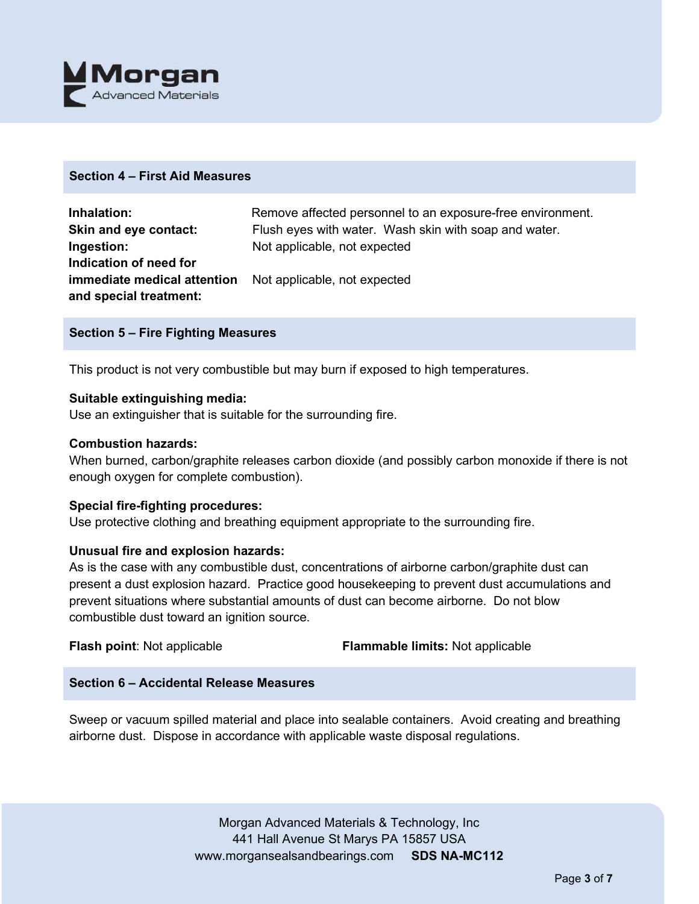

## **Section 4 – First Aid Measures**

| Inhalation:                 | Remove affected personnel to an exposure-free environment. |
|-----------------------------|------------------------------------------------------------|
| Skin and eye contact:       | Flush eyes with water. Wash skin with soap and water.      |
| Ingestion:                  | Not applicable, not expected                               |
| Indication of need for      |                                                            |
| immediate medical attention | Not applicable, not expected                               |
| and special treatment:      |                                                            |

#### **Section 5 – Fire Fighting Measures**

This product is not very combustible but may burn if exposed to high temperatures.

#### **Suitable extinguishing media:**

Use an extinguisher that is suitable for the surrounding fire.

#### **Combustion hazards:**

When burned, carbon/graphite releases carbon dioxide (and possibly carbon monoxide if there is not enough oxygen for complete combustion).

#### **Special fire-fighting procedures:**

Use protective clothing and breathing equipment appropriate to the surrounding fire.

#### **Unusual fire and explosion hazards:**

As is the case with any combustible dust, concentrations of airborne carbon/graphite dust can present a dust explosion hazard. Practice good housekeeping to prevent dust accumulations and prevent situations where substantial amounts of dust can become airborne. Do not blow combustible dust toward an ignition source.

**Flash point**: Not applicable **Flammable limits:** Not applicable

## **Section 6 – Accidental Release Measures**

Sweep or vacuum spilled material and place into sealable containers. Avoid creating and breathing airborne dust. Dispose in accordance with applicable waste disposal regulations.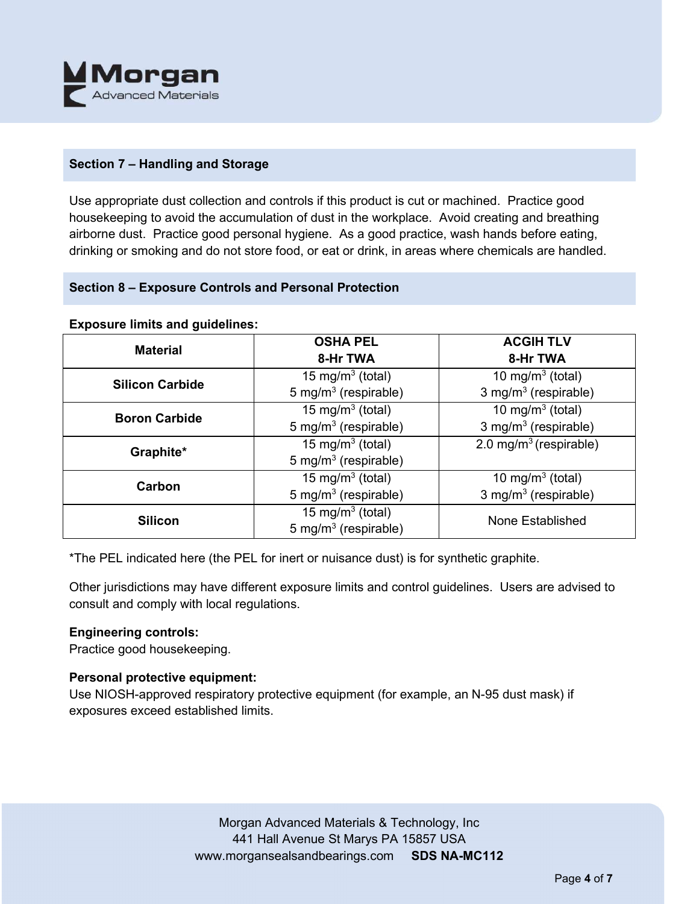

## **Section 7 – Handling and Storage**

Use appropriate dust collection and controls if this product is cut or machined. Practice good housekeeping to avoid the accumulation of dust in the workplace. Avoid creating and breathing airborne dust. Practice good personal hygiene. As a good practice, wash hands before eating, drinking or smoking and do not store food, or eat or drink, in areas where chemicals are handled.

## **Section 8 – Exposure Controls and Personal Protection**

|  | <b>Exposure limits and guidelines:</b> |
|--|----------------------------------------|
|  |                                        |

| <b>Material</b>        | <b>OSHA PEL</b>                  | <b>ACGIH TLV</b>                   |
|------------------------|----------------------------------|------------------------------------|
|                        | 8-Hr TWA                         | 8-Hr TWA                           |
| <b>Silicon Carbide</b> | 15 mg/m <sup>3</sup> (total)     | 10 mg/m $3$ (total)                |
|                        | 5 mg/m <sup>3</sup> (respirable) | 3 mg/m <sup>3</sup> (respirable)   |
| <b>Boron Carbide</b>   | 15 mg/m <sup>3</sup> (total)     | 10 mg/m $3$ (total)                |
|                        | 5 mg/m <sup>3</sup> (respirable) | 3 mg/m <sup>3</sup> (respirable)   |
| Graphite*              | 15 mg/m <sup>3</sup> (total)     | 2.0 mg/m <sup>3</sup> (respirable) |
|                        | 5 mg/m <sup>3</sup> (respirable) |                                    |
| Carbon                 | 15 mg/m <sup>3</sup> (total)     | 10 mg/m <sup>3</sup> (total)       |
|                        | 5 mg/m $3$ (respirable)          | 3 mg/m $3$ (respirable)            |
| <b>Silicon</b>         | 15 mg/m <sup>3</sup> (total)     | None Established                   |
|                        | 5 mg/m <sup>3</sup> (respirable) |                                    |

\*The PEL indicated here (the PEL for inert or nuisance dust) is for synthetic graphite.

Other jurisdictions may have different exposure limits and control guidelines. Users are advised to consult and comply with local regulations.

#### **Engineering controls:**

Practice good housekeeping.

## **Personal protective equipment:**

Use NIOSH-approved respiratory protective equipment (for example, an N-95 dust mask) if exposures exceed established limits.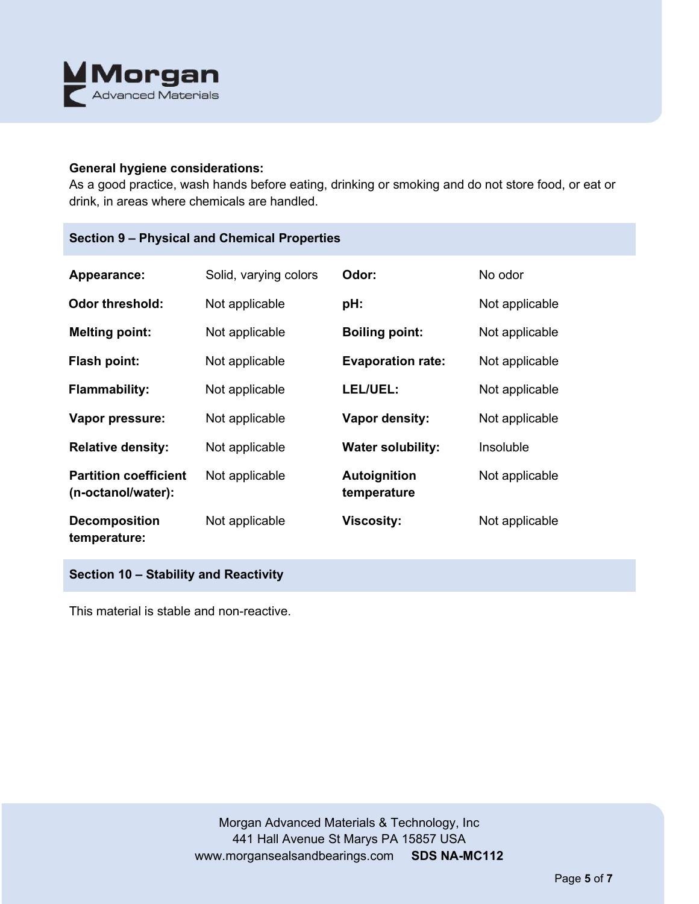

#### **General hygiene considerations:**

As a good practice, wash hands before eating, drinking or smoking and do not store food, or eat or drink, in areas where chemicals are handled.

## **Section 9 – Physical and Chemical Properties**

| Appearance:                                        | Solid, varying colors | Odor:                              | No odor        |
|----------------------------------------------------|-----------------------|------------------------------------|----------------|
| <b>Odor threshold:</b>                             | Not applicable        | pH:                                | Not applicable |
| <b>Melting point:</b>                              | Not applicable        | <b>Boiling point:</b>              | Not applicable |
| Flash point:                                       | Not applicable        | <b>Evaporation rate:</b>           | Not applicable |
| <b>Flammability:</b>                               | Not applicable        | LEL/UEL:                           | Not applicable |
| Vapor pressure:                                    | Not applicable        | Vapor density:                     | Not applicable |
| <b>Relative density:</b>                           | Not applicable        | <b>Water solubility:</b>           | Insoluble      |
| <b>Partition coefficient</b><br>(n-octanol/water): | Not applicable        | <b>Autoignition</b><br>temperature | Not applicable |
| <b>Decomposition</b><br>temperature:               | Not applicable        | <b>Viscosity:</b>                  | Not applicable |

**Section 10 – Stability and Reactivity** 

This material is stable and non-reactive.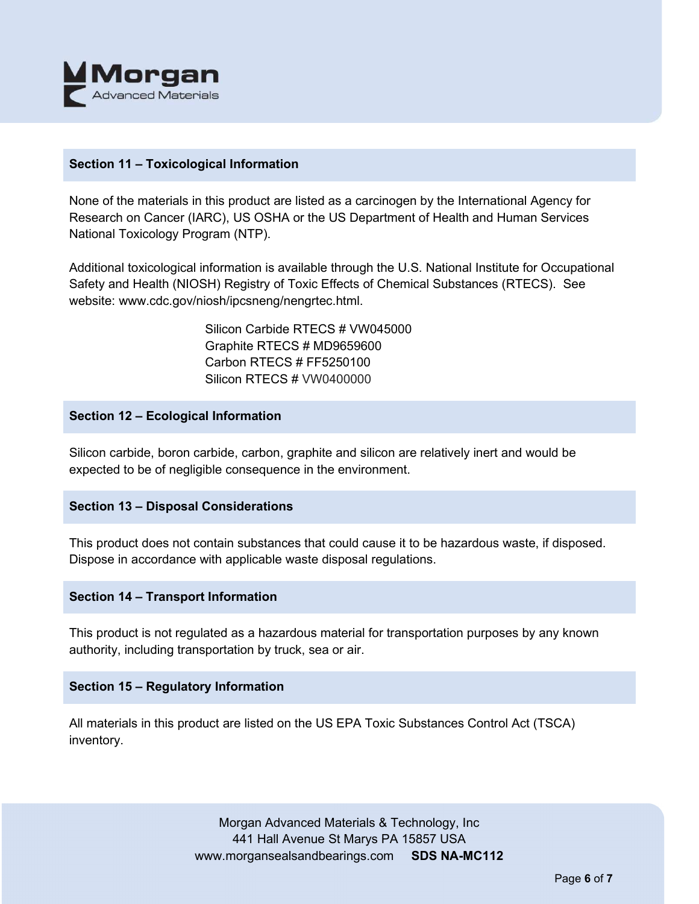

## **Section 11 – Toxicological Information**

None of the materials in this product are listed as a carcinogen by the International Agency for Research on Cancer (IARC), US OSHA or the US Department of Health and Human Services National Toxicology Program (NTP).

Additional toxicological information is available through the U.S. National Institute for Occupational Safety and Health (NIOSH) Registry of Toxic Effects of Chemical Substances (RTECS). See website: www.cdc.gov/niosh/ipcsneng/nengrtec.html.

> Silicon Carbide RTECS # VW045000 Graphite RTECS # MD9659600 Carbon RTECS # FF5250100 Silicon RTECS # VW0400000

## **Section 12 – Ecological Information**

Silicon carbide, boron carbide, carbon, graphite and silicon are relatively inert and would be expected to be of negligible consequence in the environment.

## **Section 13 – Disposal Considerations**

This product does not contain substances that could cause it to be hazardous waste, if disposed. Dispose in accordance with applicable waste disposal regulations.

#### **Section 14 – Transport Information**

This product is not regulated as a hazardous material for transportation purposes by any known authority, including transportation by truck, sea or air.

#### **Section 15 – Regulatory Information**

All materials in this product are listed on the US EPA Toxic Substances Control Act (TSCA) inventory.